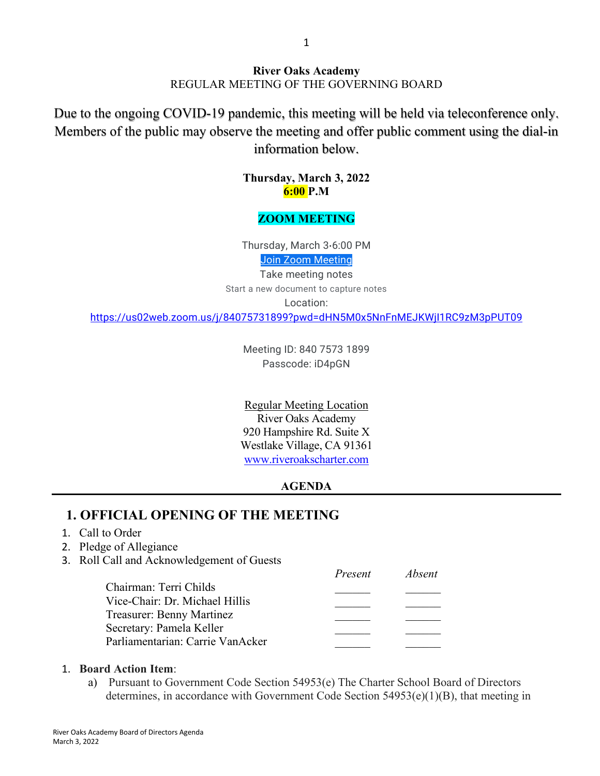#### **River Oaks Academy** REGULAR MEETING OF THE GOVERNING BOARD

Due to the ongoing COVID-19 pandemic, this meeting will be held via teleconference only. Members of the public may observe the meeting and offer public comment using the dial-in information below.

> **Thursday, March 3, 2022 6:00 P.M**

#### **ZOOM MEETING**

Thursday, March 3⋅6:00 PM Join Zoom [Meeting](https://us02web.zoom.us/j/84075731899?pwd=dHN5M0x5NnFnMEJKWjI1RC9zM3pPUT09)

Take meeting notes Start a new document to capture notes

Location:

<https://us02web.zoom.us/j/84075731899?pwd=dHN5M0x5NnFnMEJKWjI1RC9zM3pPUT09>

Meeting ID: 840 7573 1899 Passcode: iD4pGN

Regular Meeting Location River Oaks Academy 920 Hampshire Rd. Suite X Westlake Village, CA 91361 [www.riveroakscharter.com](http://www.riveroakscharter.com/)

#### **AGENDA**

#### **1. OFFICIAL OPENING OF THE MEETING**

#### 1. Call to Order

- 2. Pledge of Allegiance
- 3. Roll Call and Acknowledgement of Guests

|                                  | Present | <i>Absent</i> |
|----------------------------------|---------|---------------|
| Chairman: Terri Childs           |         |               |
| Vice-Chair: Dr. Michael Hillis   |         |               |
| Treasurer: Benny Martinez        |         |               |
| Secretary: Pamela Keller         |         |               |
| Parliamentarian: Carrie VanAcker |         |               |

#### 1. **Board Action Item**:

a) Pursuant to Government Code Section 54953(e) The Charter School Board of Directors determines, in accordance with Government Code Section  $54953(e)(1)(B)$ , that meeting in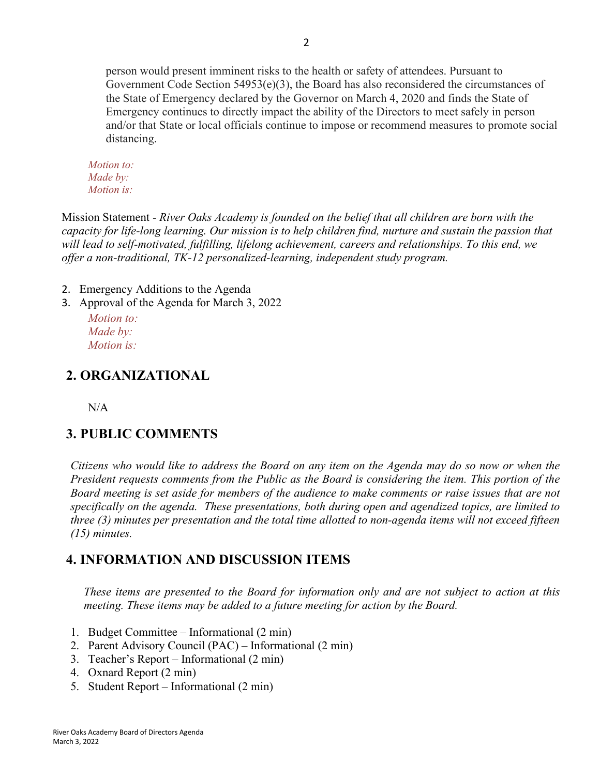person would present imminent risks to the health or safety of attendees. Pursuant to Government Code Section  $54953(e)(3)$ , the Board has also reconsidered the circumstances of the State of Emergency declared by the Governor on March 4, 2020 and finds the State of Emergency continues to directly impact the ability of the Directors to meet safely in person and/or that State or local officials continue to impose or recommend measures to promote social distancing.

*Motion to: Made by: Motion is:*

Mission Statement - *River Oaks Academy is founded on the belief that all children are born with the capacity for life-long learning. Our mission is to help children find, nurture and sustain the passion that will lead to self-motivated, fulfilling, lifelong achievement, careers and relationships. To this end, we offer a non-traditional, TK-12 personalized-learning, independent study program.*

2. Emergency Additions to the Agenda

3. Approval of the Agenda for March 3, 2022

*Motion to: Made by: Motion is:*

# **2. ORGANIZATIONAL**

N/A

# **3. PUBLIC COMMENTS**

*Citizens who would like to address the Board on any item on the Agenda may do so now or when the President requests comments from the Public as the Board is considering the item. This portion of the Board meeting is set aside for members of the audience to make comments or raise issues that are not specifically on the agenda. These presentations, both during open and agendized topics, are limited to three (3) minutes per presentation and the total time allotted to non-agenda items will not exceed fifteen (15) minutes.*

# **4. INFORMATION AND DISCUSSION ITEMS**

*These items are presented to the Board for information only and are not subject to action at this meeting. These items may be added to a future meeting for action by the Board.*

- 1. Budget Committee Informational (2 min)
- 2. Parent Advisory Council (PAC) Informational (2 min)
- 3. Teacher's Report Informational (2 min)
- 4. Oxnard Report (2 min)
- 5. Student Report Informational (2 min)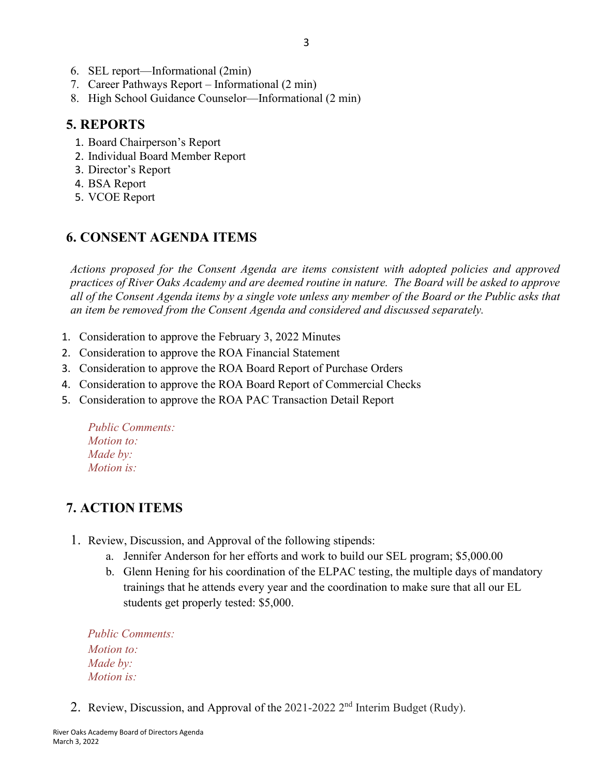- 6. SEL report—Informational (2min)
- 7. Career Pathways Report Informational (2 min)
- 8. High School Guidance Counselor—Informational (2 min)

## **5. REPORTS**

- 1. Board Chairperson's Report
- 2. Individual Board Member Report
- 3. Director's Report
- 4. BSA Report
- 5. VCOE Report

## **6. CONSENT AGENDA ITEMS**

*Actions proposed for the Consent Agenda are items consistent with adopted policies and approved practices of River Oaks Academy and are deemed routine in nature. The Board will be asked to approve all of the Consent Agenda items by a single vote unless any member of the Board or the Public asks that an item be removed from the Consent Agenda and considered and discussed separately.*

- 1. Consideration to approve the February 3, 2022 Minutes
- 2. Consideration to approve the ROA Financial Statement
- 3. Consideration to approve the ROA Board Report of Purchase Orders
- 4. Consideration to approve the ROA Board Report of Commercial Checks
- 5. Consideration to approve the ROA PAC Transaction Detail Report

*Public Comments: Motion to: Made by: Motion is:*

# **7. ACTION ITEMS**

- 1. Review, Discussion, and Approval of the following stipends:
	- a. Jennifer Anderson for her efforts and work to build our SEL program; \$5,000.00
	- b. Glenn Hening for his coordination of the ELPAC testing, the multiple days of mandatory trainings that he attends every year and the coordination to make sure that all our EL students get properly tested: \$5,000.

*Public Comments: Motion to: Made by: Motion is:*

2. Review, Discussion, and Approval of the 2021-2022 2<sup>nd</sup> Interim Budget (Rudy).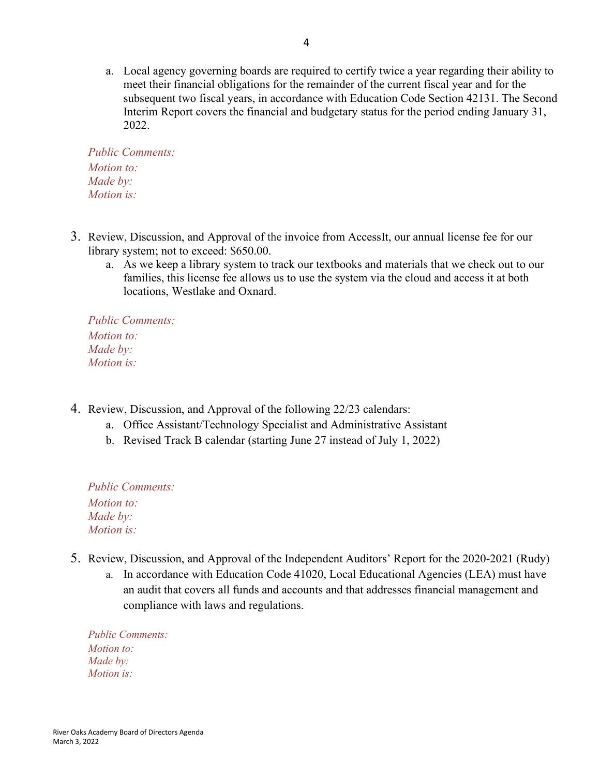a. Local agency governing boards are required to certify twice a year regarding their ability to meet their financial obligations for the remainder of the current fiscal year and for the subsequent two fiscal years, in accordance with Education Code Section 42131. The Second Interim Report covers the financial and budgetary status for the period ending January 31, 2022.

*Public Comments: Motion to: Made by: Motion is:*

- 3. Review, Discussion, and Approval of the invoice from AccessIt, our annual license fee for our library system; not to exceed: \$650.00.
	- a. As we keep a library system to track our textbooks and materials that we check out to our families, this license fee allows us to use the system via the cloud and access it at both locations, Westlake and Oxnard.

*Public Comments: Motion to: Made by: Motion is:*

- 4. Review, Discussion, and Approval of the following 22/23 calendars:
	- a. Office Assistant/Technology Specialist and Administrative Assistant
	- b. Revised Track B calendar (starting June 27 instead of July 1, 2022)

*Public Comments: Motion to: Made by: Motion is:*

- 5. Review, Discussion, and Approval of the Independent Auditors' Report for the 2020-2021 (Rudy)
	- a. In accordance with Education Code 41020, Local Educational Agencies (LEA) must have an audit that covers all funds and accounts and that addresses financial management and compliance with laws and regulations.

*Public Comments: Motion to: Made by: Motion is:*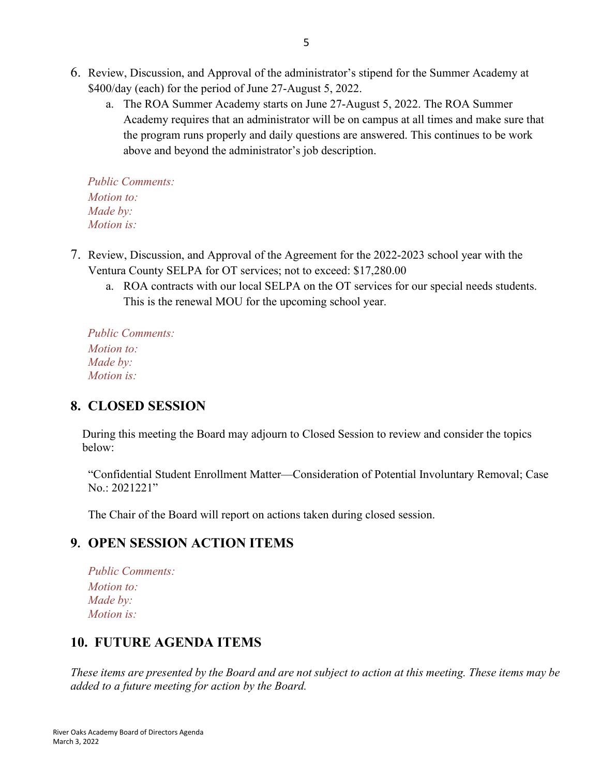- 6. Review, Discussion, and Approval of the administrator's stipend for the Summer Academy at \$400/day (each) for the period of June 27-August 5, 2022.
	- a. The ROA Summer Academy starts on June 27-August 5, 2022. The ROA Summer Academy requires that an administrator will be on campus at all times and make sure that the program runs properly and daily questions are answered. This continues to be work above and beyond the administrator's job description.

*Public Comments: Motion to: Made by: Motion is:*

- 7. Review, Discussion, and Approval of the Agreement for the 2022-2023 school year with the Ventura County SELPA for OT services; not to exceed: \$17,280.00
	- a. ROA contracts with our local SELPA on the OT services for our special needs students. This is the renewal MOU for the upcoming school year.

*Public Comments: Motion to: Made by: Motion is:*

### **8. CLOSED SESSION**

 During this meeting the Board may adjourn to Closed Session to review and consider the topics below:

"Confidential Student Enrollment Matter—Consideration of Potential Involuntary Removal; Case No.: 2021221"

The Chair of the Board will report on actions taken during closed session.

### **9. OPEN SESSION ACTION ITEMS**

*Public Comments: Motion to: Made by: Motion is:*

# **10. FUTURE AGENDA ITEMS**

*These items are presented by the Board and are not subject to action at this meeting. These items may be added to a future meeting for action by the Board.*